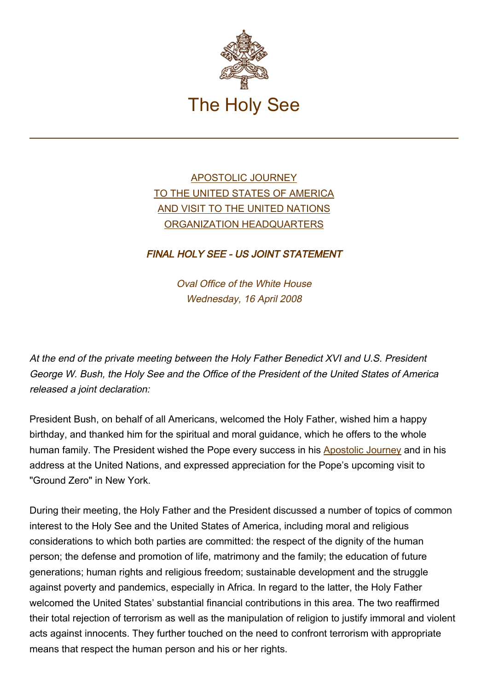

## [APOSTOLIC JOURNEY](https://www.vatican.va/content/benedict-xvi/en/travels/2008/index_stati-uniti.html) [TO THE UNITED STATES OF AMERICA](https://www.vatican.va/content/benedict-xvi/en/travels/2008/index_stati-uniti.html) [AND VISIT TO THE UNITED NATIONS](https://www.vatican.va/content/benedict-xvi/en/travels/2008/index_stati-uniti.html) [ORGANIZATION HEADQUARTERS](https://www.vatican.va/content/benedict-xvi/en/travels/2008/index_stati-uniti.html)

## FINAL HOLY SEE - US JOINT STATEMENT

Oval Office of the White House Wednesday, 16 April 2008

At the end of the private meeting between the Holy Father Benedict XVI and U.S. President George W. Bush, the Holy See and the Office of the President of the United States of America released a joint declaration:

President Bush, on behalf of all Americans, welcomed the Holy Father, wished him a happy birthday, and thanked him for the spiritual and moral guidance, which he offers to the whole human family. The President wished the Pope every success in his [Apostolic Journey](https://www.vatican.va/content/benedict-xvi/en/travels/2008/index_stati-uniti.html) and in his address at the United Nations, and expressed appreciation for the Pope's upcoming visit to "Ground Zero" in New York.

During their meeting, the Holy Father and the President discussed a number of topics of common interest to the Holy See and the United States of America, including moral and religious considerations to which both parties are committed: the respect of the dignity of the human person; the defense and promotion of life, matrimony and the family; the education of future generations; human rights and religious freedom; sustainable development and the struggle against poverty and pandemics, especially in Africa. In regard to the latter, the Holy Father welcomed the United States' substantial financial contributions in this area. The two reaffirmed their total rejection of terrorism as well as the manipulation of religion to justify immoral and violent acts against innocents. They further touched on the need to confront terrorism with appropriate means that respect the human person and his or her rights.